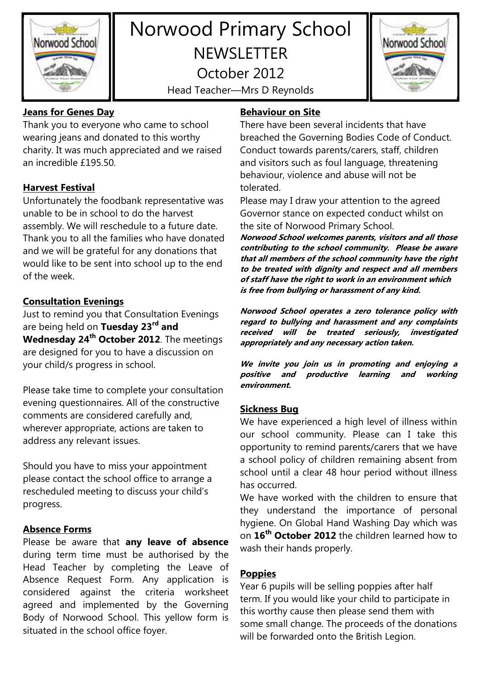

# Norwood Primary School **NEWSLETTER** October 2012

Head Teacher—Mrs D Reynolds



## **Jeans for Genes Day**

Thank you to everyone who came to school wearing jeans and donated to this worthy charity. It was much appreciated and we raised an incredible £195.50.

## **Harvest Festival**

Unfortunately the foodbank representative was unable to be in school to do the harvest assembly. We will reschedule to a future date. Thank you to all the families who have donated and we will be grateful for any donations that would like to be sent into school up to the end of the week.

## **Consultation Evenings**

Just to remind you that Consultation Evenings are being held on **Tuesday 23rd and Wednesday 24th October 2012**. The meetings are designed for you to have a discussion on your child/s progress in school.

Please take time to complete your consultation evening questionnaires. All of the constructive comments are considered carefully and, wherever appropriate, actions are taken to address any relevant issues.

Should you have to miss your appointment please contact the school office to arrange a rescheduled meeting to discuss your child's progress.

## **Absence Forms**

Please be aware that **any leave of absence** during term time must be authorised by the Head Teacher by completing the Leave of Absence Request Form. Any application is considered against the criteria worksheet agreed and implemented by the Governing Body of Norwood School. This yellow form is situated in the school office foyer.

## **Behaviour on Site**

There have been several incidents that have breached the Governing Bodies Code of Conduct. Conduct towards parents/carers, staff, children and visitors such as foul language, threatening behaviour, violence and abuse will not be tolerated.

Please may I draw your attention to the agreed Governor stance on expected conduct whilst on the site of Norwood Primary School.

**Norwood School welcomes parents, visitors and all those contributing to the school community. Please be aware that all members of the school community have the right to be treated with dignity and respect and all members of staff have the right to work in an environment which is free from bullying or harassment of any kind.** 

**Norwood School operates a zero tolerance policy with regard to bullying and harassment and any complaints received will be treated seriously, investigated appropriately and any necessary action taken.** 

**We invite you join us in promoting and enjoying a positive and productive learning and working environment.** 

## **Sickness Bug**

We have experienced a high level of illness within our school community. Please can I take this opportunity to remind parents/carers that we have a school policy of children remaining absent from school until a clear 48 hour period without illness has occurred.

We have worked with the children to ensure that they understand the importance of personal hygiene. On Global Hand Washing Day which was on **16th October 2012** the children learned how to wash their hands properly.

## **Poppies**

Year 6 pupils will be selling poppies after half term. If you would like your child to participate in this worthy cause then please send them with some small change. The proceeds of the donations will be forwarded onto the British Legion.